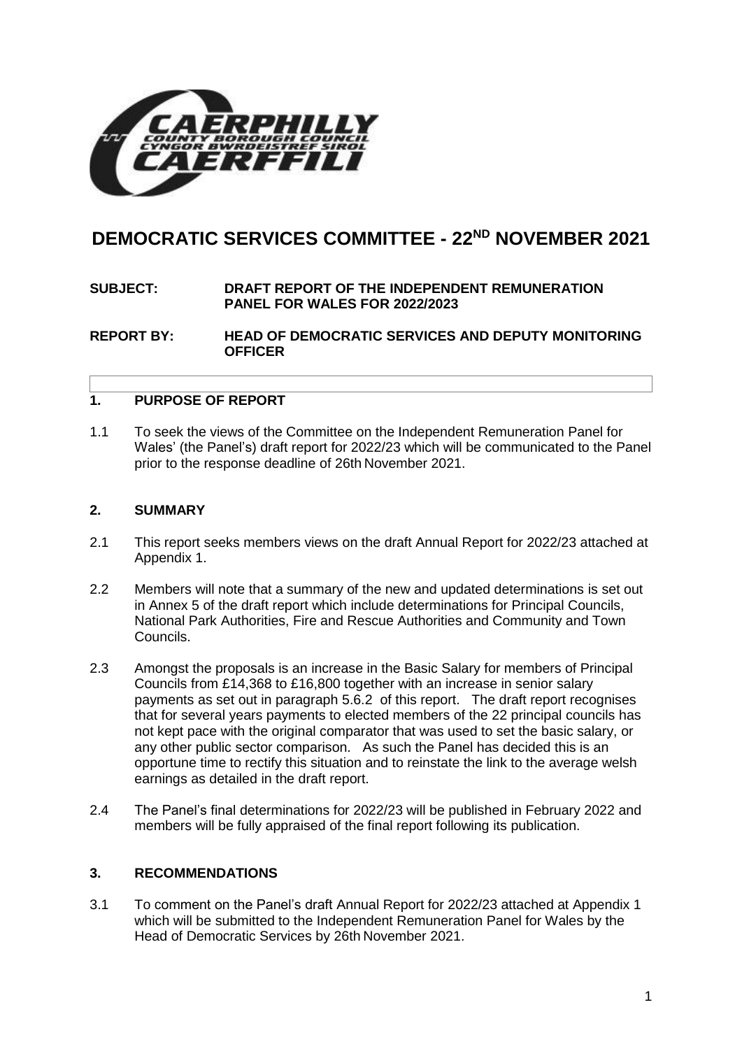

# **DEMOCRATIC SERVICES COMMITTEE - 22ND NOVEMBER 2021**

## **SUBJECT: DRAFT REPORT OF THE INDEPENDENT REMUNERATION PANEL FOR WALES FOR 2022/2023**

**REPORT BY: HEAD OF DEMOCRATIC SERVICES AND DEPUTY MONITORING OFFICER**

# **1. PURPOSE OF REPORT**

1.1 To seek the views of the Committee on the Independent Remuneration Panel for Wales' (the Panel's) draft report for 2022/23 which will be communicated to the Panel prior to the response deadline of 26th November 2021.

## **2. SUMMARY**

- 2.1 This report seeks members views on the draft Annual Report for 2022/23 attached at Appendix 1.
- 2.2 Members will note that a summary of the new and updated determinations is set out in Annex 5 of the draft report which include determinations for Principal Councils, National Park Authorities, Fire and Rescue Authorities and Community and Town Councils.
- 2.3 Amongst the proposals is an increase in the Basic Salary for members of Principal Councils from £14,368 to £16,800 together with an increase in senior salary payments as set out in paragraph 5.6.2 of this report. The draft report recognises that for several years payments to elected members of the 22 principal councils has not kept pace with the original comparator that was used to set the basic salary, or any other public sector comparison. As such the Panel has decided this is an opportune time to rectify this situation and to reinstate the link to the average welsh earnings as detailed in the draft report.
- 2.4 The Panel's final determinations for 2022/23 will be published in February 2022 and members will be fully appraised of the final report following its publication.

# **3. RECOMMENDATIONS**

3.1 To comment on the Panel's draft Annual Report for 2022/23 attached at Appendix 1 which will be submitted to the Independent Remuneration Panel for Wales by the Head of Democratic Services by 26th November 2021.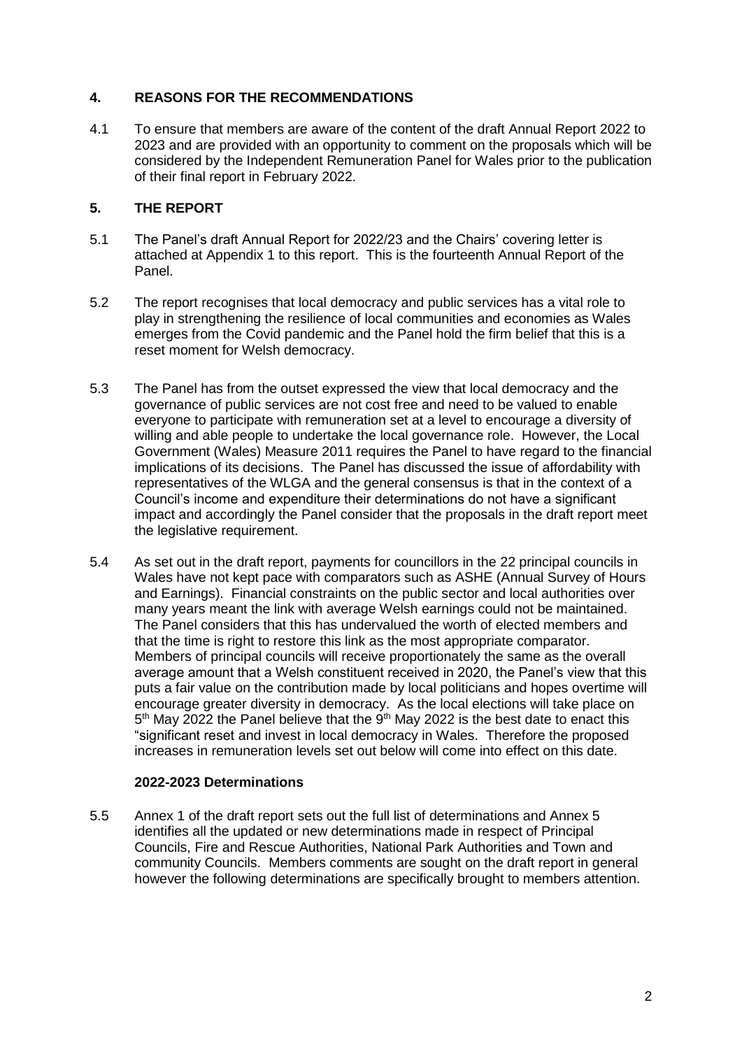## **4. REASONS FOR THE RECOMMENDATIONS**

4.1 To ensure that members are aware of the content of the draft Annual Report 2022 to 2023 and are provided with an opportunity to comment on the proposals which will be considered by the Independent Remuneration Panel for Wales prior to the publication of their final report in February 2022.

## **5. THE REPORT**

- 5.1 The Panel's draft Annual Report for 2022/23 and the Chairs' covering letter is attached at Appendix 1 to this report. This is the fourteenth Annual Report of the Panel.
- 5.2 The report recognises that local democracy and public services has a vital role to play in strengthening the resilience of local communities and economies as Wales emerges from the Covid pandemic and the Panel hold the firm belief that this is a reset moment for Welsh democracy.
- 5.3 The Panel has from the outset expressed the view that local democracy and the governance of public services are not cost free and need to be valued to enable everyone to participate with remuneration set at a level to encourage a diversity of willing and able people to undertake the local governance role. However, the Local Government (Wales) Measure 2011 requires the Panel to have regard to the financial implications of its decisions. The Panel has discussed the issue of affordability with representatives of the WLGA and the general consensus is that in the context of a Council's income and expenditure their determinations do not have a significant impact and accordingly the Panel consider that the proposals in the draft report meet the legislative requirement.
- 5.4 As set out in the draft report, payments for councillors in the 22 principal councils in Wales have not kept pace with comparators such as ASHE (Annual Survey of Hours and Earnings). Financial constraints on the public sector and local authorities over many years meant the link with average Welsh earnings could not be maintained. The Panel considers that this has undervalued the worth of elected members and that the time is right to restore this link as the most appropriate comparator. Members of principal councils will receive proportionately the same as the overall average amount that a Welsh constituent received in 2020, the Panel's view that this puts a fair value on the contribution made by local politicians and hopes overtime will encourage greater diversity in democracy. As the local elections will take place on 5<sup>th</sup> May 2022 the Panel believe that the 9<sup>th</sup> May 2022 is the best date to enact this "significant reset and invest in local democracy in Wales. Therefore the proposed increases in remuneration levels set out below will come into effect on this date.

## **2022-2023 Determinations**

5.5 Annex 1 of the draft report sets out the full list of determinations and Annex 5 identifies all the updated or new determinations made in respect of Principal Councils, Fire and Rescue Authorities, National Park Authorities and Town and community Councils. Members comments are sought on the draft report in general however the following determinations are specifically brought to members attention.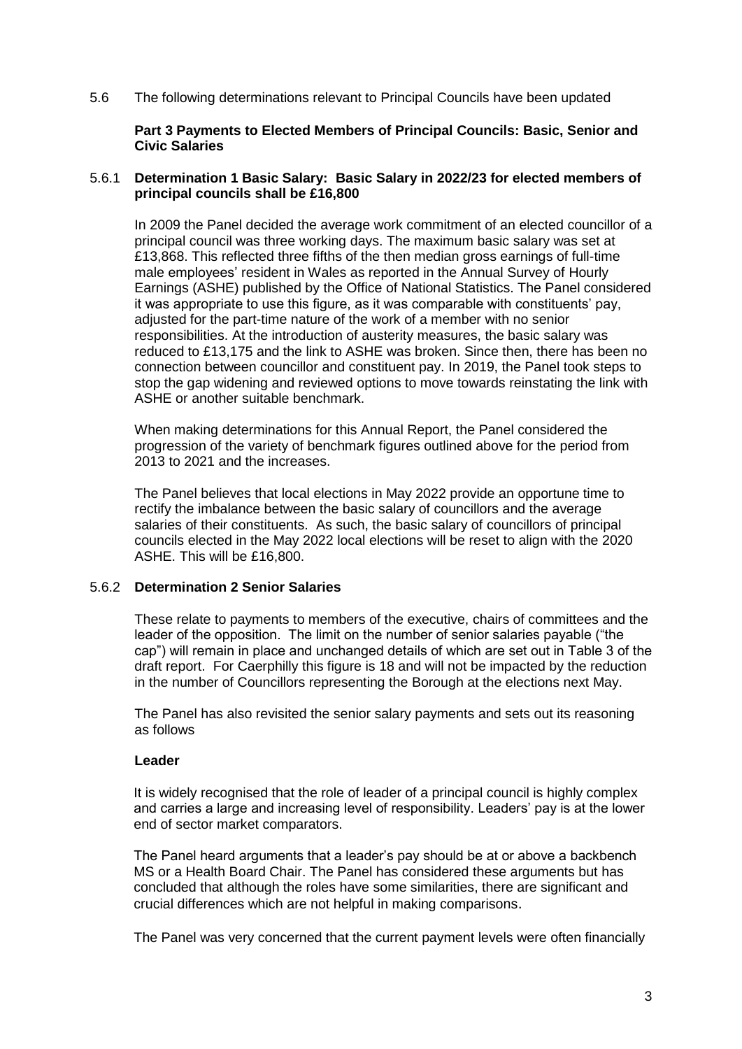5.6 The following determinations relevant to Principal Councils have been updated

**Part 3 Payments to Elected Members of Principal Councils: Basic, Senior and Civic Salaries**

#### 5.6.1 **Determination 1 Basic Salary: Basic Salary in 2022/23 for elected members of principal councils shall be £16,800**

In 2009 the Panel decided the average work commitment of an elected councillor of a principal council was three working days. The maximum basic salary was set at £13,868. This reflected three fifths of the then median gross earnings of full-time male employees' resident in Wales as reported in the Annual Survey of Hourly Earnings (ASHE) published by the Office of National Statistics. The Panel considered it was appropriate to use this figure, as it was comparable with constituents' pay, adjusted for the part-time nature of the work of a member with no senior responsibilities. At the introduction of austerity measures, the basic salary was reduced to £13,175 and the link to ASHE was broken. Since then, there has been no connection between councillor and constituent pay. In 2019, the Panel took steps to stop the gap widening and reviewed options to move towards reinstating the link with ASHE or another suitable benchmark.

When making determinations for this Annual Report, the Panel considered the progression of the variety of benchmark figures outlined above for the period from 2013 to 2021 and the increases.

The Panel believes that local elections in May 2022 provide an opportune time to rectify the imbalance between the basic salary of councillors and the average salaries of their constituents. As such, the basic salary of councillors of principal councils elected in the May 2022 local elections will be reset to align with the 2020 ASHE. This will be £16,800.

## 5.6.2 **Determination 2 Senior Salaries**

These relate to payments to members of the executive, chairs of committees and the leader of the opposition. The limit on the number of senior salaries payable ("the cap") will remain in place and unchanged details of which are set out in Table 3 of the draft report. For Caerphilly this figure is 18 and will not be impacted by the reduction in the number of Councillors representing the Borough at the elections next May.

The Panel has also revisited the senior salary payments and sets out its reasoning as follows

#### **Leader**

It is widely recognised that the role of leader of a principal council is highly complex and carries a large and increasing level of responsibility. Leaders' pay is at the lower end of sector market comparators.

The Panel heard arguments that a leader's pay should be at or above a backbench MS or a Health Board Chair. The Panel has considered these arguments but has concluded that although the roles have some similarities, there are significant and crucial differences which are not helpful in making comparisons.

The Panel was very concerned that the current payment levels were often financially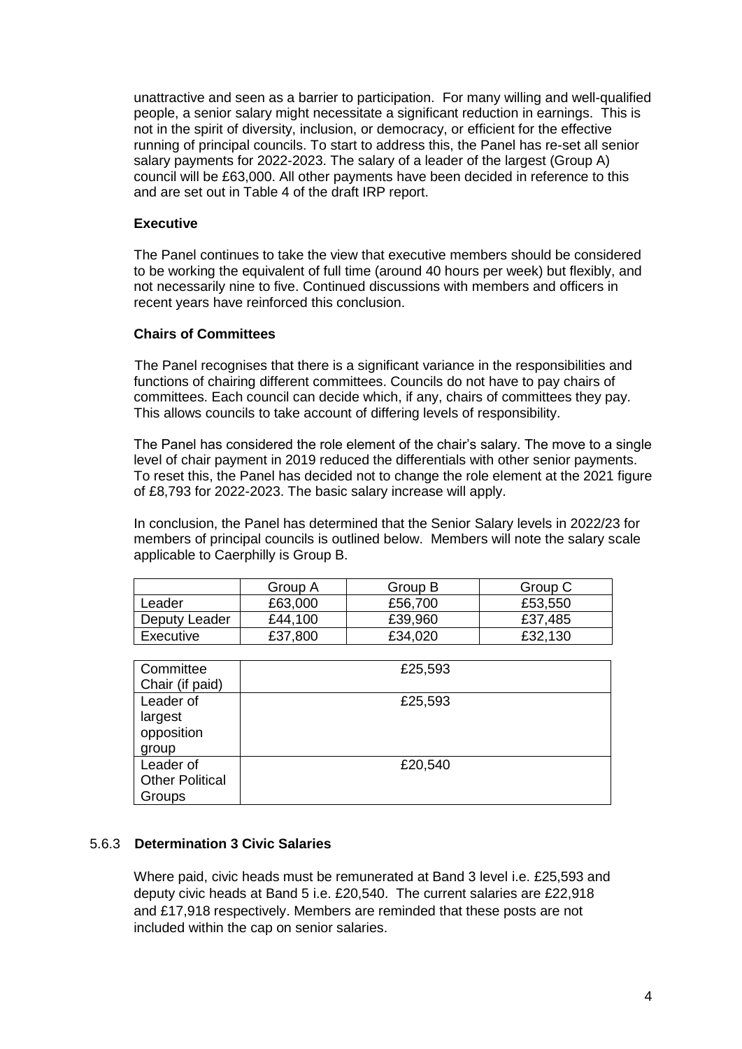unattractive and seen as a barrier to participation. For many willing and well-qualified people, a senior salary might necessitate a significant reduction in earnings. This is not in the spirit of diversity, inclusion, or democracy, or efficient for the effective running of principal councils. To start to address this, the Panel has re-set all senior salary payments for 2022-2023. The salary of a leader of the largest (Group A) council will be £63,000. All other payments have been decided in reference to this and are set out in Table 4 of the draft IRP report.

#### **Executive**

The Panel continues to take the view that executive members should be considered to be working the equivalent of full time (around 40 hours per week) but flexibly, and not necessarily nine to five. Continued discussions with members and officers in recent years have reinforced this conclusion.

#### **Chairs of Committees**

The Panel recognises that there is a significant variance in the responsibilities and functions of chairing different committees. Councils do not have to pay chairs of committees. Each council can decide which, if any, chairs of committees they pay. This allows councils to take account of differing levels of responsibility.

The Panel has considered the role element of the chair's salary. The move to a single level of chair payment in 2019 reduced the differentials with other senior payments. To reset this, the Panel has decided not to change the role element at the 2021 figure of £8,793 for 2022-2023. The basic salary increase will apply.

In conclusion, the Panel has determined that the Senior Salary levels in 2022/23 for members of principal councils is outlined below. Members will note the salary scale applicable to Caerphilly is Group B.

|               | Group A | Group B | Group C |
|---------------|---------|---------|---------|
| Leader        | £63,000 | £56,700 | £53,550 |
| Deputy Leader | £44,100 | £39,960 | £37,485 |
| Executive     | £37,800 | £34,020 | £32,130 |

| Committee              | £25,593 |
|------------------------|---------|
| Chair (if paid)        |         |
| Leader of              | £25,593 |
| largest                |         |
| opposition             |         |
| group                  |         |
| Leader of              | £20,540 |
| <b>Other Political</b> |         |
| Groups                 |         |

## 5.6.3 **Determination 3 Civic Salaries**

Where paid, civic heads must be remunerated at Band 3 level i.e. £25,593 and deputy civic heads at Band 5 i.e. £20,540. The current salaries are £22,918 and £17,918 respectively. Members are reminded that these posts are not included within the cap on senior salaries.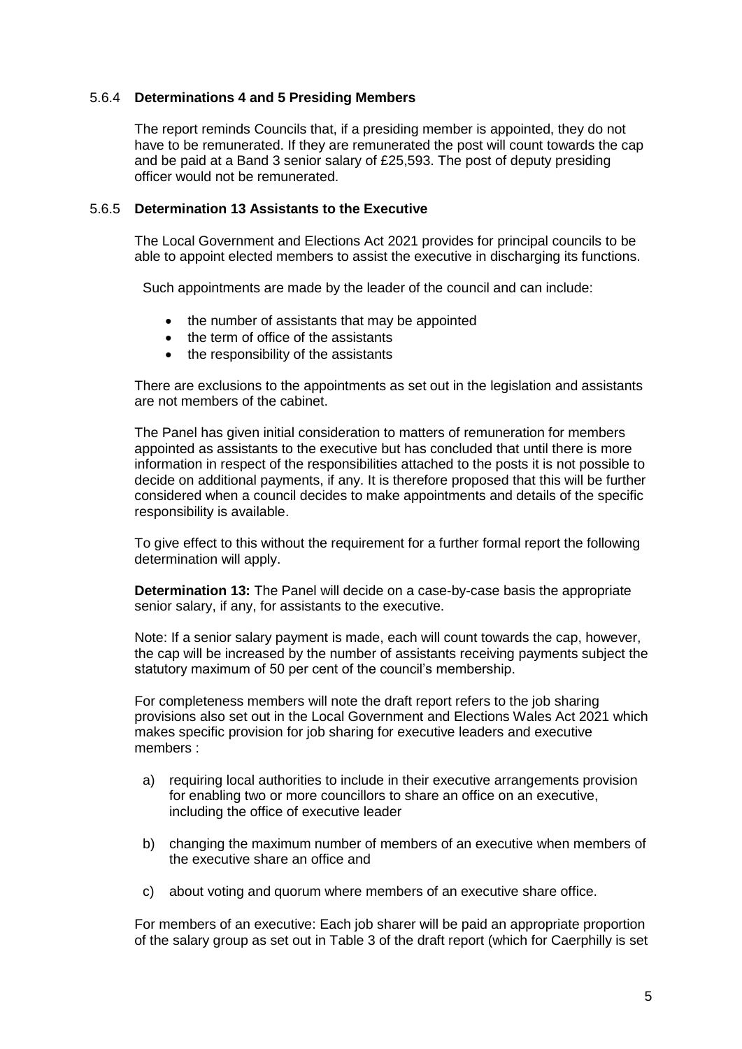## 5.6.4 **Determinations 4 and 5 Presiding Members**

The report reminds Councils that, if a presiding member is appointed, they do not have to be remunerated. If they are remunerated the post will count towards the cap and be paid at a Band 3 senior salary of £25,593. The post of deputy presiding officer would not be remunerated.

# 5.6.5 **Determination 13 Assistants to the Executive**

The Local Government and Elections Act 2021 provides for principal councils to be able to appoint elected members to assist the executive in discharging its functions.

Such appointments are made by the leader of the council and can include:

- the number of assistants that may be appointed
- the term of office of the assistants
- the responsibility of the assistants

There are exclusions to the appointments as set out in the legislation and assistants are not members of the cabinet.

The Panel has given initial consideration to matters of remuneration for members appointed as assistants to the executive but has concluded that until there is more information in respect of the responsibilities attached to the posts it is not possible to decide on additional payments, if any. It is therefore proposed that this will be further considered when a council decides to make appointments and details of the specific responsibility is available.

To give effect to this without the requirement for a further formal report the following determination will apply.

**Determination 13:** The Panel will decide on a case-by-case basis the appropriate senior salary, if any, for assistants to the executive.

Note: If a senior salary payment is made, each will count towards the cap, however, the cap will be increased by the number of assistants receiving payments subject the statutory maximum of 50 per cent of the council's membership.

For completeness members will note the draft report refers to the job sharing provisions also set out in the Local Government and Elections Wales Act 2021 which makes specific provision for job sharing for executive leaders and executive members :

- a) requiring local authorities to include in their executive arrangements provision for enabling two or more councillors to share an office on an executive, including the office of executive leader
- b) changing the maximum number of members of an executive when members of the executive share an office and
- c) about voting and quorum where members of an executive share office.

For members of an executive: Each job sharer will be paid an appropriate proportion of the salary group as set out in Table 3 of the draft report (which for Caerphilly is set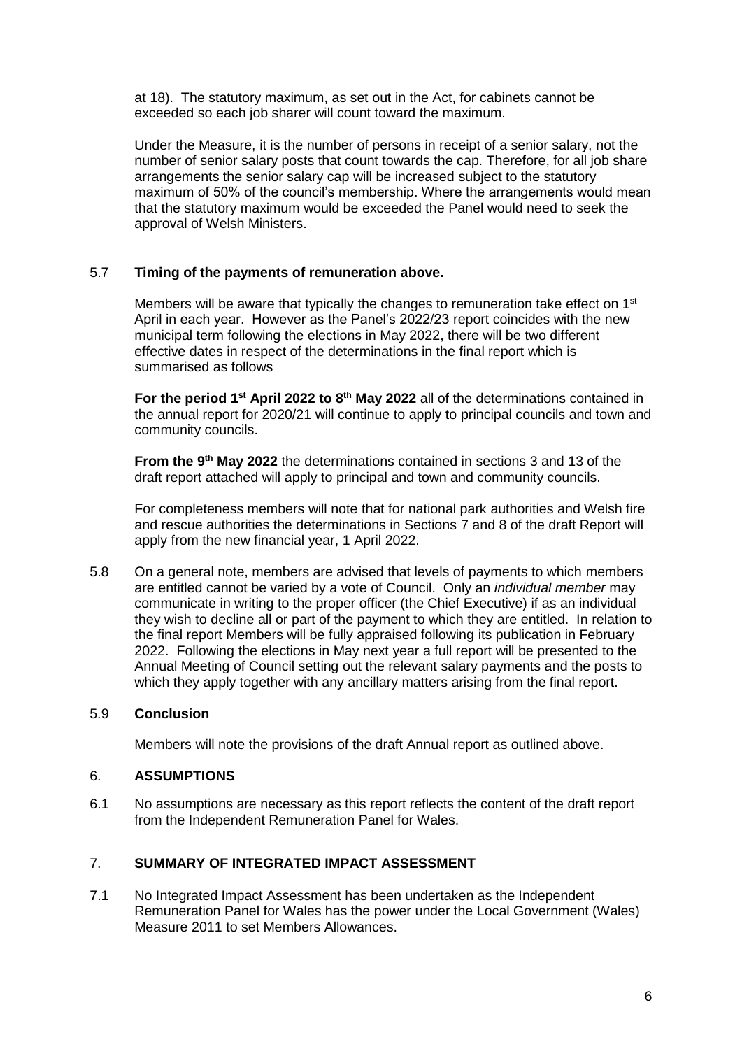at 18). The statutory maximum, as set out in the Act, for cabinets cannot be exceeded so each job sharer will count toward the maximum.

Under the Measure, it is the number of persons in receipt of a senior salary, not the number of senior salary posts that count towards the cap. Therefore, for all job share arrangements the senior salary cap will be increased subject to the statutory maximum of 50% of the council's membership. Where the arrangements would mean that the statutory maximum would be exceeded the Panel would need to seek the approval of Welsh Ministers.

## 5.7 **Timing of the payments of remuneration above.**

Members will be aware that typically the changes to remuneration take effect on 1<sup>st</sup> April in each year. However as the Panel's 2022/23 report coincides with the new municipal term following the elections in May 2022, there will be two different effective dates in respect of the determinations in the final report which is summarised as follows

**For the period 1st April 2022 to 8th May 2022** all of the determinations contained in the annual report for 2020/21 will continue to apply to principal councils and town and community councils.

From the 9<sup>th</sup> May 2022 the determinations contained in sections 3 and 13 of the draft report attached will apply to principal and town and community councils.

For completeness members will note that for national park authorities and Welsh fire and rescue authorities the determinations in Sections 7 and 8 of the draft Report will apply from the new financial year, 1 April 2022.

5.8 On a general note, members are advised that levels of payments to which members are entitled cannot be varied by a vote of Council. Only an *individual member* may communicate in writing to the proper officer (the Chief Executive) if as an individual they wish to decline all or part of the payment to which they are entitled. In relation to the final report Members will be fully appraised following its publication in February 2022. Following the elections in May next year a full report will be presented to the Annual Meeting of Council setting out the relevant salary payments and the posts to which they apply together with any ancillary matters arising from the final report.

## 5.9 **Conclusion**

Members will note the provisions of the draft Annual report as outlined above.

## 6. **ASSUMPTIONS**

6.1 No assumptions are necessary as this report reflects the content of the draft report from the Independent Remuneration Panel for Wales.

# 7. **SUMMARY OF INTEGRATED IMPACT ASSESSMENT**

7.1 No Integrated Impact Assessment has been undertaken as the Independent Remuneration Panel for Wales has the power under the Local Government (Wales) Measure 2011 to set Members Allowances.